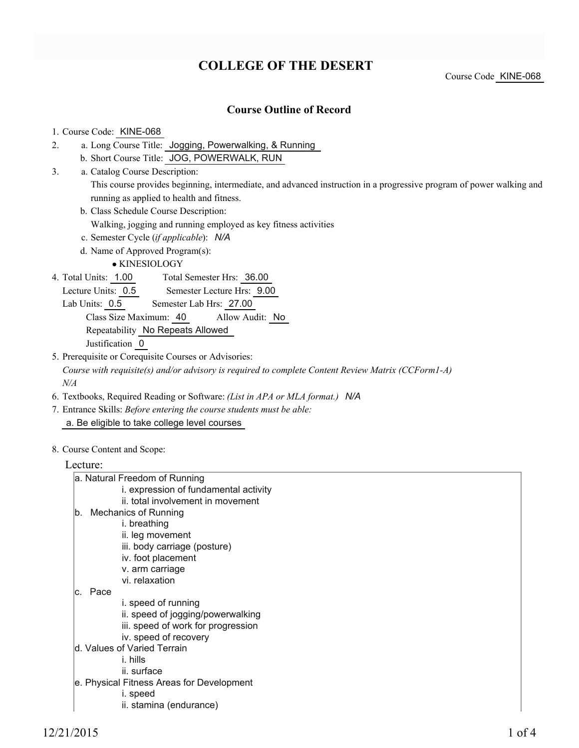# **COLLEGE OF THE DESERT**

Course Code KINE-068

### **Course Outline of Record**

#### 1. Course Code: KINE-068

- a. Long Course Title: Jogging, Powerwalking, & Running 2.
	- b. Short Course Title: JOG, POWERWALK, RUN
- Catalog Course Description: a. 3.

This course provides beginning, intermediate, and advanced instruction in a progressive program of power walking and running as applied to health and fitness.

b. Class Schedule Course Description:

Walking, jogging and running employed as key fitness activities

- c. Semester Cycle (*if applicable*): *N/A*
- d. Name of Approved Program(s):

KINESIOLOGY

Total Semester Hrs: 36.00 4. Total Units: 1.00

Lecture Units: 0.5 Semester Lecture Hrs: 9.00

Lab Units: 0.5 Semester Lab Hrs: 27.00

Class Size Maximum: 40 Allow Audit: No

Repeatability No Repeats Allowed

Justification 0

5. Prerequisite or Corequisite Courses or Advisories:

*Course with requisite(s) and/or advisory is required to complete Content Review Matrix (CCForm1-A) N/A*

- 6. Textbooks, Required Reading or Software: *(List in APA or MLA format.) N/A*
- Entrance Skills: *Before entering the course students must be able:* 7. a. Be eligible to take college level courses
- 8. Course Content and Scope:

#### Lecture:

| a. Natural Freedom of Running             |
|-------------------------------------------|
| i. expression of fundamental activity     |
| ii. total involvement in movement         |
| b. Mechanics of Running                   |
| i. breathing                              |
| ii. leg movement                          |
| iii. body carriage (posture)              |
| iv. foot placement                        |
| v. arm carriage                           |
| vi. relaxation                            |
| lc. Pace                                  |
| i. speed of running                       |
| ii. speed of jogging/powerwalking         |
| iii. speed of work for progression        |
| iv. speed of recovery                     |
| d. Values of Varied Terrain               |
| i. hills                                  |
| ii. surface                               |
| e. Physical Fitness Areas for Development |
| i. speed                                  |
| ii. stamina (endurance)                   |
|                                           |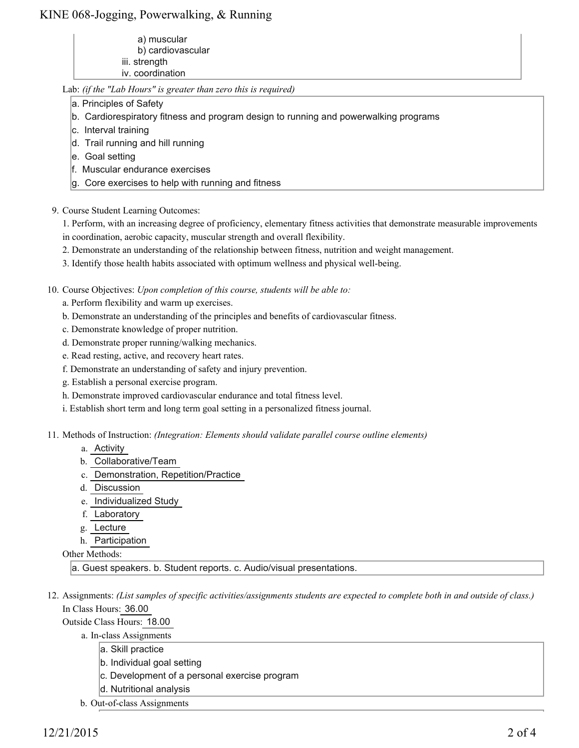## KINE 068-Jogging, Powerwalking, & Running

 a) muscular b) cardiovascular iii. strength iv. coordination

Lab: *(if the "Lab Hours" is greater than zero this is required)*

- a. Principles of Safety
- b. Cardiorespiratory fitness and program design to running and powerwalking programs
- c. Interval training
- d. Trail running and hill running
- e. Goal setting
- f. Muscular endurance exercises
- g. Core exercises to help with running and fitness
- 9. Course Student Learning Outcomes:

1. Perform, with an increasing degree of proficiency, elementary fitness activities that demonstrate measurable improvements in coordination, aerobic capacity, muscular strength and overall flexibility.

- 2. Demonstrate an understanding of the relationship between fitness, nutrition and weight management.
- 3. Identify those health habits associated with optimum wellness and physical well-being.

10. Course Objectives: Upon completion of this course, students will be able to:

- a. Perform flexibility and warm up exercises.
- b. Demonstrate an understanding of the principles and benefits of cardiovascular fitness.
- c. Demonstrate knowledge of proper nutrition.
- d. Demonstrate proper running/walking mechanics.
- e. Read resting, active, and recovery heart rates.
- f. Demonstrate an understanding of safety and injury prevention.
- g. Establish a personal exercise program.
- h. Demonstrate improved cardiovascular endurance and total fitness level.
- i. Establish short term and long term goal setting in a personalized fitness journal.
- Methods of Instruction: *(Integration: Elements should validate parallel course outline elements)* 11.
	- a. Activity
	- b. Collaborative/Team
	- c. Demonstration, Repetition/Practice
	- d. Discussion
	- e. Individualized Study
	- f. Laboratory
	- g. Lecture
	- h. Participation

Other Methods:

a. Guest speakers. b. Student reports. c. Audio/visual presentations.

12. Assignments: (List samples of specific activities/assignments students are expected to complete both in and outside of class.) In Class Hours: 36.00

Outside Class Hours: 18.00

a. In-class Assignments

- a. Skill practice
- b. Individual goal setting
- c. Development of a personal exercise program
- d. Nutritional analysis
- b. Out-of-class Assignments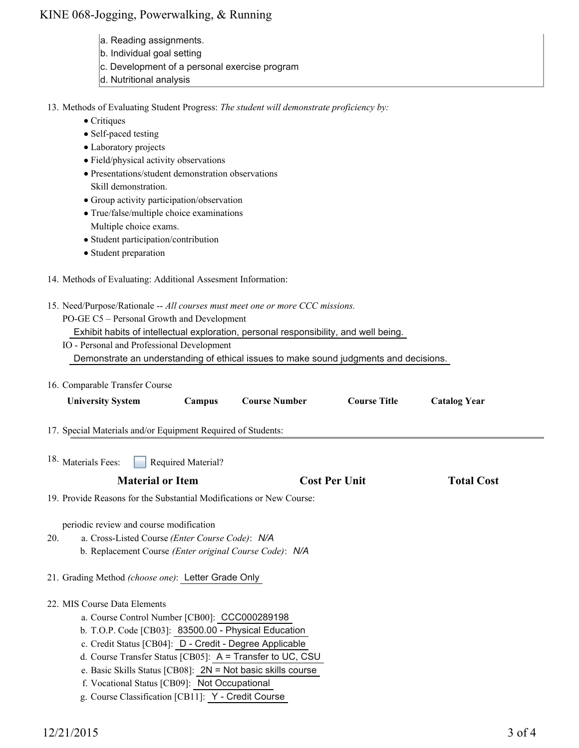## KINE 068-Jogging, Powerwalking, & Running

- a. Reading assignments.
- b. Individual goal setting
- c. Development of a personal exercise program
- d. Nutritional analysis
- 13. Methods of Evaluating Student Progress: The student will demonstrate proficiency by:
	- Critiques
	- Self-paced testing
	- Laboratory projects
	- Field/physical activity observations
	- Presentations/student demonstration observations Skill demonstration.
	- Group activity participation/observation
	- True/false/multiple choice examinations
	- Multiple choice exams.
	- Student participation/contribution
	- Student preparation
- 14. Methods of Evaluating: Additional Assesment Information:
- 15. Need/Purpose/Rationale -- All courses must meet one or more CCC missions.

PO-GE C5 – Personal Growth and Development

Exhibit habits of intellectual exploration, personal responsibility, and well being.

- IO Personal and Professional Development Demonstrate an understanding of ethical issues to make sound judgments and decisions.
- 16. Comparable Transfer Course

| <b>University System</b>                                                                                                                                                                                                                                                                                | Campus             | <b>Course Number</b>                                                                                                     | <b>Course Title</b>  | <b>Catalog Year</b> |  |
|---------------------------------------------------------------------------------------------------------------------------------------------------------------------------------------------------------------------------------------------------------------------------------------------------------|--------------------|--------------------------------------------------------------------------------------------------------------------------|----------------------|---------------------|--|
| 17. Special Materials and/or Equipment Required of Students:                                                                                                                                                                                                                                            |                    |                                                                                                                          |                      |                     |  |
| <sup>18.</sup> Materials Fees:                                                                                                                                                                                                                                                                          | Required Material? |                                                                                                                          |                      |                     |  |
| <b>Material or Item</b>                                                                                                                                                                                                                                                                                 |                    |                                                                                                                          | <b>Cost Per Unit</b> | <b>Total Cost</b>   |  |
| 19. Provide Reasons for the Substantial Modifications or New Course:                                                                                                                                                                                                                                    |                    |                                                                                                                          |                      |                     |  |
| periodic review and course modification<br>a. Cross-Listed Course (Enter Course Code): N/A<br>20.<br>b. Replacement Course (Enter original Course Code): N/A                                                                                                                                            |                    |                                                                                                                          |                      |                     |  |
| 21. Grading Method (choose one): Letter Grade Only                                                                                                                                                                                                                                                      |                    |                                                                                                                          |                      |                     |  |
| 22. MIS Course Data Elements<br>a. Course Control Number [CB00]: CCC000289198<br>b. T.O.P. Code [CB03]: 83500.00 - Physical Education<br>c. Credit Status [CB04]: D - Credit - Degree Applicable<br>f. Vocational Status [CB09]: Not Occupational<br>g. Course Classification [CB11]: Y - Credit Course |                    | d. Course Transfer Status [CB05]: A = Transfer to UC, CSU<br>e. Basic Skills Status [CB08]: 2N = Not basic skills course |                      |                     |  |